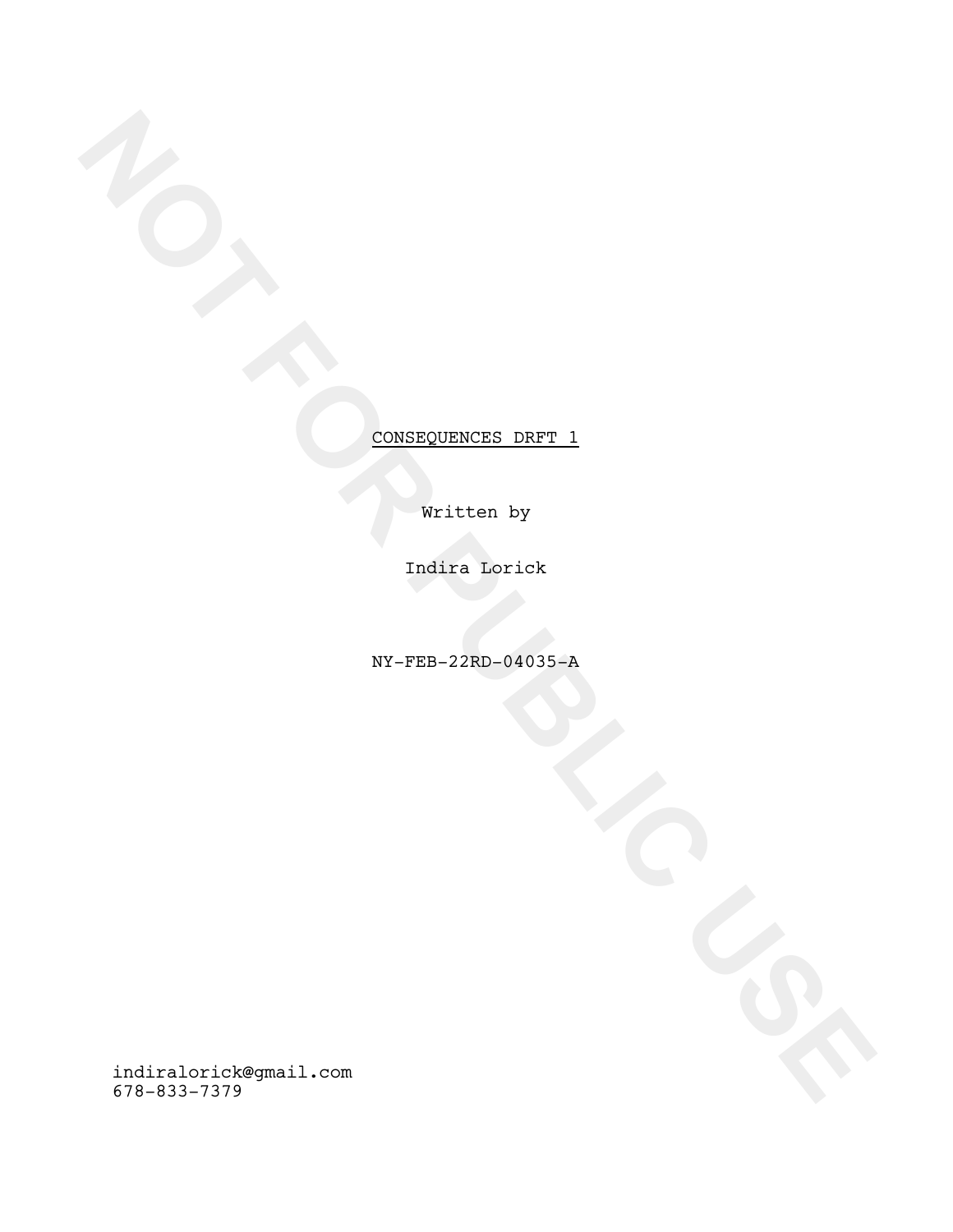Written by

Indira Lorick

NY-FEB-22RD-04035-A

**NOT FOR PUBLIC USE** CONSEQUENCES\_DRFT\_1 indiralorick@gmail.com 678-833-7379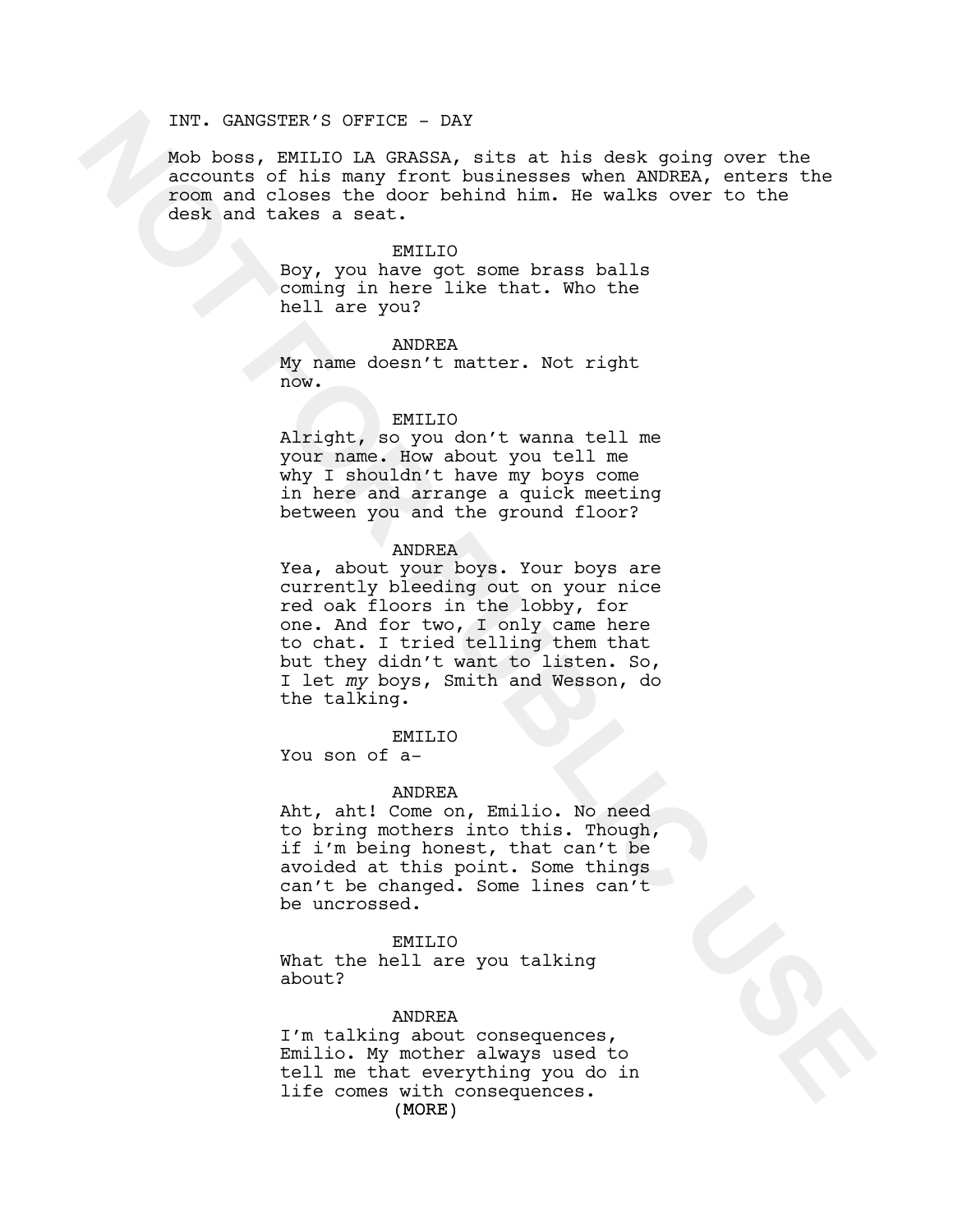# INT. GANGSTER'S OFFICE - DAY

Mob boss, EMILIO LA GRASSA, sits at his desk going over the accounts of his many front businesses when ANDREA, enters the room and closes the door behind him. He walks over to the desk and takes a seat.

#### EMILIO

Boy, you have got some brass balls coming in here like that. Who the hell are you?

### ANDREA

My name doesn't matter. Not right now.

## EMILIO

Alright, so you don't wanna tell me your name. How about you tell me why I shouldn't have my boys come in here and arrange a quick meeting between you and the ground floor?

## ANDREA

Not because to front the main tensor in the same of the main of the main of the main of the main of the main of the same of the same of the same of the same of the same of the same of the main of the same of the main of th Yea, about your boys. Your boys are currently bleeding out on your nice red oak floors in the lobby, for one. And for two, I only came here to chat. I tried telling them that but they didn't want to listen. So, I let *my* boys, Smith and Wesson, do the talking.

# EMILIO

You son of a-

#### ANDREA

Aht, aht! Come on, Emilio. No need to bring mothers into this. Though, if i'm being honest, that can't be avoided at this point. Some things can't be changed. Some lines can't be uncrossed.

## EMILIO

What the hell are you talking about?

## ANDREA

(MORE) I'm talking about consequences, Emilio. My mother always used to tell me that everything you do in life comes with consequences.